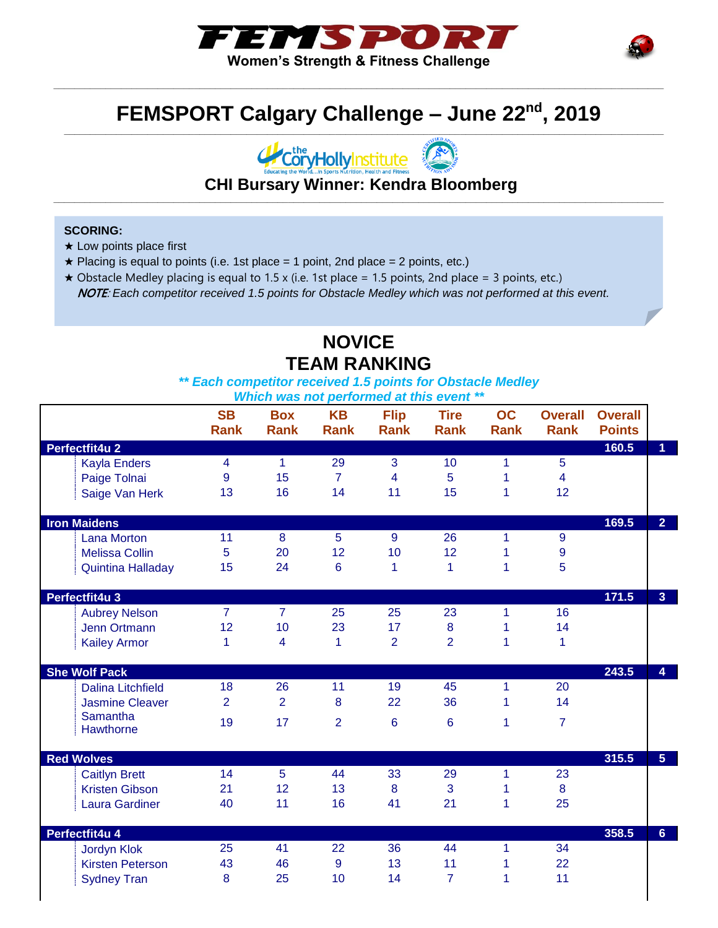



#### **FEMSPORT Calgary Challenge – June 22nd, 2019 \_\_\_\_\_\_\_\_\_\_\_\_\_\_\_\_\_\_\_\_\_\_\_\_\_\_\_\_\_\_\_\_\_\_\_\_\_\_\_\_\_\_\_\_\_\_\_\_\_\_\_\_\_\_\_\_\_\_\_\_\_\_\_\_\_\_\_\_\_\_\_\_\_\_\_\_\_\_\_\_\_\_\_\_\_\_\_\_\_\_\_\_\_\_\_\_\_\_\_\_\_\_\_\_\_\_\_\_\_\_\_\_\_\_\_**

**\_\_\_\_\_\_\_\_\_\_\_\_\_\_\_\_\_\_\_\_\_\_\_\_\_\_\_\_\_\_\_\_\_\_\_\_\_\_\_\_\_\_\_\_\_\_\_\_\_\_\_\_\_\_\_\_\_\_\_\_\_\_\_\_\_\_\_\_\_\_\_\_\_\_\_\_\_\_\_\_\_\_\_\_\_\_\_\_\_\_\_\_\_\_\_\_\_\_\_\_\_\_\_\_\_\_\_\_\_\_\_\_\_\_\_\_\_**



**CHI Bursary Winner: Kendra Bloomberg \_\_\_\_\_\_\_\_\_\_\_\_\_\_\_\_\_\_\_\_\_\_\_\_\_\_\_\_\_\_\_\_\_\_\_\_\_\_\_\_\_\_\_\_\_\_\_\_\_\_\_\_\_\_\_\_\_\_\_\_\_\_\_\_\_\_\_\_\_\_\_\_\_\_\_\_\_\_\_\_\_\_\_\_\_\_\_\_\_\_\_\_\_\_\_\_\_\_\_\_\_\_\_\_\_\_\_\_\_\_\_\_\_\_\_\_\_**

#### **SCORING:**

- ★ Low points place first
- $\star$  Placing is equal to points (i.e. 1st place = 1 point, 2nd place = 2 points, etc.)
- $\star$  Obstacle Medley placing is equal to 1.5 x (i.e. 1st place = 1.5 points, 2nd place = 3 points, etc.) NOTE: *Each competitor received 1.5 points for Obstacle Medley which was not performed at this event.*

#### **NOVICE TEAM RANKING**

*\*\* Each competitor received 1.5 points for Obstacle Medley*

|                              | <b>SB</b><br><b>Rank</b> | <b>Box</b><br><b>Rank</b> | <b>KB</b><br><b>Rank</b> | <b>Flip</b><br><b>Rank</b> | <b>Tire</b><br><b>Rank</b> | OC<br><b>Rank</b> | <b>Overall</b><br><b>Rank</b> | <b>Overall</b><br><b>Points</b> |                |
|------------------------------|--------------------------|---------------------------|--------------------------|----------------------------|----------------------------|-------------------|-------------------------------|---------------------------------|----------------|
| Perfectfit4u 2               |                          |                           |                          |                            |                            |                   |                               | 160.5                           | $\overline{1}$ |
| <b>Kayla Enders</b>          | 4                        | 1                         | 29                       | 3                          | 10                         | 1                 | 5                             |                                 |                |
| Paige Tolnai                 | 9                        | 15                        | $\overline{7}$           | 4                          | 5                          | 1                 | $\overline{4}$                |                                 |                |
| Saige Van Herk               | 13                       | 16                        | 14                       | 11                         | 15                         | 1                 | 12                            |                                 |                |
| <b>Iron Maidens</b>          |                          |                           |                          |                            |                            |                   |                               | 169.5                           | 2 <sup>1</sup> |
| <b>Lana Morton</b>           | 11                       | 8                         | 5                        | 9                          | 26                         | 1                 | 9                             |                                 |                |
| <b>Melissa Collin</b>        | 5                        | 20                        | 12                       | 10                         | 12                         | 1                 | 9                             |                                 |                |
| <b>Quintina Halladay</b>     | 15                       | 24                        | $6\phantom{1}$           | 1                          | 1                          | 1                 | 5                             |                                 |                |
| Perfectfit4u 3               |                          |                           |                          |                            |                            |                   |                               | 171.5                           | 3 <sup>1</sup> |
| <b>Aubrey Nelson</b>         | $\overline{7}$           | $\overline{7}$            | 25                       | 25                         | 23                         | 1                 | 16                            |                                 |                |
| Jenn Ortmann                 | 12                       | 10                        | 23                       | 17                         | $\bf 8$                    | 1                 | 14                            |                                 |                |
| <b>Kailey Armor</b>          | 1                        | $\overline{\mathbf{4}}$   | 1                        | $\overline{2}$             | $\overline{2}$             | 1                 | 1                             |                                 |                |
| <b>She Wolf Pack</b>         |                          |                           |                          |                            |                            |                   |                               | 243.5                           | $\overline{4}$ |
| <b>Dalina Litchfield</b>     | 18                       | 26                        | 11                       | 19                         | 45                         | 1                 | 20                            |                                 |                |
| <b>Jasmine Cleaver</b>       | $\overline{2}$           | $\overline{2}$            | 8                        | 22                         | 36                         | 1                 | 14                            |                                 |                |
| <b>Samantha</b><br>Hawthorne | 19                       | 17                        | $\overline{2}$           | 6                          | $6\phantom{1}6$            | 1                 | $\overline{7}$                |                                 |                |
|                              |                          |                           |                          |                            |                            |                   |                               |                                 |                |
| <b>Red Wolves</b>            |                          |                           |                          |                            |                            |                   |                               | 315.5                           | 5 <sup>1</sup> |
| <b>Caitlyn Brett</b>         | 14                       | 5                         | 44                       | 33                         | 29                         | 1                 | 23                            |                                 |                |
| <b>Kristen Gibson</b>        | 21                       | 12                        | 13                       | 8                          | 3                          | 1                 | 8                             |                                 |                |
| <b>Laura Gardiner</b>        | 40                       | 11                        | 16                       | 41                         | 21                         | 1                 | 25                            |                                 |                |
| Perfectfit4u 4               |                          |                           |                          |                            |                            |                   |                               | 358.5                           | 6 <sup>1</sup> |
| <b>Jordyn Klok</b>           | 25                       | 41                        | 22                       | 36                         | 44                         | 1                 | 34                            |                                 |                |
| <b>Kirsten Peterson</b>      | 43                       | 46                        | $\overline{9}$           | 13                         | 11                         | 1                 | 22                            |                                 |                |
| <b>Sydney Tran</b>           | 8                        | 25                        | 10                       | 14                         | $\overline{7}$             | 1                 | 11                            |                                 |                |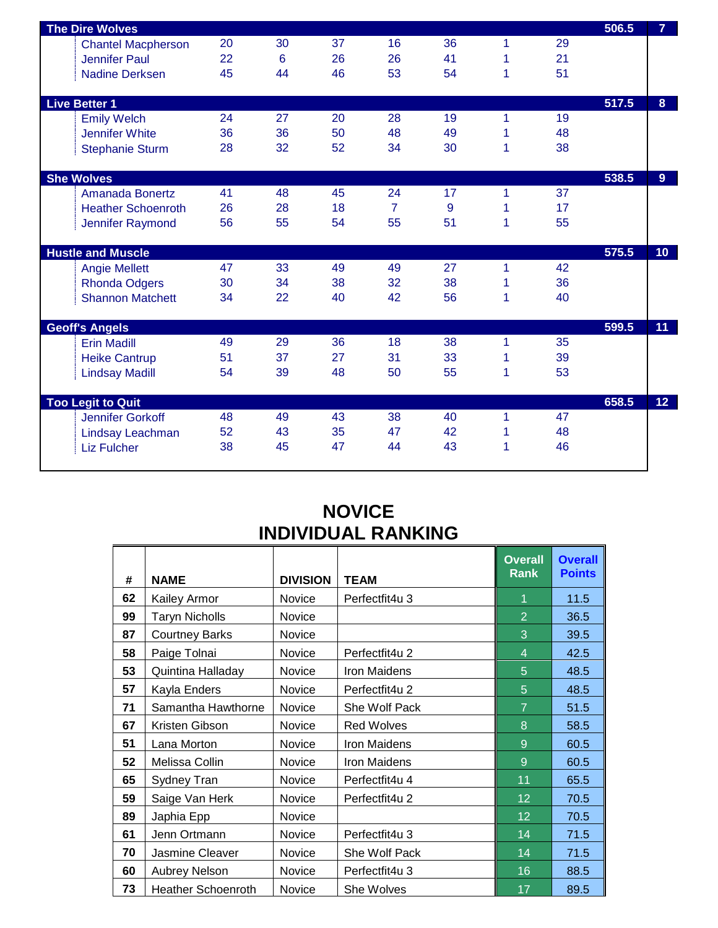| <b>The Dire Wolves</b>    |    |    |    |                |    |   |    | 506.5 | $\overline{7}$  |
|---------------------------|----|----|----|----------------|----|---|----|-------|-----------------|
| <b>Chantel Macpherson</b> | 20 | 30 | 37 | 16             | 36 | 1 | 29 |       |                 |
| <b>Jennifer Paul</b>      | 22 | 6  | 26 | 26             | 41 | 1 | 21 |       |                 |
| <b>Nadine Derksen</b>     | 45 | 44 | 46 | 53             | 54 | 1 | 51 |       |                 |
|                           |    |    |    |                |    |   |    |       |                 |
| <b>Live Better 1</b>      |    |    |    |                |    |   |    | 517.5 | 8 <sup>1</sup>  |
| <b>Emily Welch</b>        | 24 | 27 | 20 | 28             | 19 | 1 | 19 |       |                 |
| <b>Jennifer White</b>     | 36 | 36 | 50 | 48             | 49 | 1 | 48 |       |                 |
| <b>Stephanie Sturm</b>    | 28 | 32 | 52 | 34             | 30 | 1 | 38 |       |                 |
|                           |    |    |    |                |    |   |    |       |                 |
| <b>She Wolves</b>         |    |    |    |                |    |   |    | 538.5 | 9 <sup>°</sup>  |
| <b>Amanada Bonertz</b>    | 41 | 48 | 45 | 24             | 17 | 1 | 37 |       |                 |
| <b>Heather Schoenroth</b> | 26 | 28 | 18 | $\overline{7}$ | 9  | 1 | 17 |       |                 |
| Jennifer Raymond          | 56 | 55 | 54 | 55             | 51 | 1 | 55 |       |                 |
|                           |    |    |    |                |    |   |    |       |                 |
| <b>Hustle and Muscle</b>  |    |    |    |                |    |   |    | 575.5 | 10 <sub>1</sub> |
| <b>Angie Mellett</b>      | 47 | 33 | 49 | 49             | 27 | 1 | 42 |       |                 |
| <b>Rhonda Odgers</b>      | 30 | 34 | 38 | 32             | 38 | 1 | 36 |       |                 |
| <b>Shannon Matchett</b>   | 34 | 22 | 40 | 42             | 56 | 1 | 40 |       |                 |
| <b>Geoff's Angels</b>     |    |    |    |                |    |   |    | 599.5 | 11              |
| <b>Erin Madill</b>        | 49 | 29 | 36 | 18             | 38 | 1 | 35 |       |                 |
| <b>Heike Cantrup</b>      | 51 | 37 | 27 | 31             | 33 | 1 | 39 |       |                 |
| <b>Lindsay Madill</b>     | 54 | 39 | 48 | 50             | 55 | 1 | 53 |       |                 |
|                           |    |    |    |                |    |   |    |       |                 |
| <b>Too Legit to Quit</b>  |    |    |    |                |    |   |    | 658.5 | 12 <sup>°</sup> |
| Jennifer Gorkoff          | 48 | 49 | 43 | 38             | 40 | 1 | 47 |       |                 |
| Lindsay Leachman          | 52 | 43 | 35 | 47             | 42 | 1 | 48 |       |                 |
| <b>Liz Fulcher</b>        | 38 | 45 | 47 | 44             | 43 | 1 | 46 |       |                 |
|                           |    |    |    |                |    |   |    |       |                 |

#### **NOVICE INDIVIDUAL RANKING**

 $\overline{\phantom{a}}$ 

| #  | <b>NAME</b>               | <b>DIVISION</b> | <b>TEAM</b>         | <b>Overall</b><br>Rank | <b>Overall</b><br><b>Points</b> |
|----|---------------------------|-----------------|---------------------|------------------------|---------------------------------|
| 62 | <b>Kailey Armor</b>       | <b>Novice</b>   | Perfectfit4u 3      | 1                      | 11.5                            |
| 99 | <b>Taryn Nicholls</b>     | <b>Novice</b>   |                     | $\overline{2}$         | 36.5                            |
| 87 | <b>Courtney Barks</b>     | Novice          |                     | 3                      | 39.5                            |
| 58 | Paige Tolnai              | <b>Novice</b>   | Perfectfit4u 2      | $\overline{4}$         | 42.5                            |
| 53 | Quintina Halladay         | <b>Novice</b>   | <b>Iron Maidens</b> | 5                      | 48.5                            |
| 57 | Kayla Enders              | Novice          | Perfectfit4u 2      | 5                      | 48.5                            |
| 71 | Samantha Hawthorne        | <b>Novice</b>   | She Wolf Pack       | $\overline{7}$         | 51.5                            |
| 67 | Kristen Gibson            | Novice          | <b>Red Wolves</b>   | 8                      | 58.5                            |
| 51 | Lana Morton               | Novice          | <b>Iron Maidens</b> | 9                      | 60.5                            |
| 52 | Melissa Collin            | Novice          | <b>Iron Maidens</b> | 9                      | 60.5                            |
| 65 | Sydney Tran               | Novice          | Perfectfit4u 4      | 11                     | 65.5                            |
| 59 | Saige Van Herk            | <b>Novice</b>   | Perfectfit4u 2      | 12                     | 70.5                            |
| 89 | Japhia Epp                | <b>Novice</b>   |                     | 12                     | 70.5                            |
| 61 | Jenn Ortmann              | Novice          | Perfectfit4u 3      | 14                     | 71.5                            |
| 70 | Jasmine Cleaver           | <b>Novice</b>   | She Wolf Pack       | 14                     | 71.5                            |
| 60 | <b>Aubrey Nelson</b>      | Novice          | Perfectfit4u 3      | 16                     | 88.5                            |
| 73 | <b>Heather Schoenroth</b> | Novice          | She Wolves          | 17                     | 89.5                            |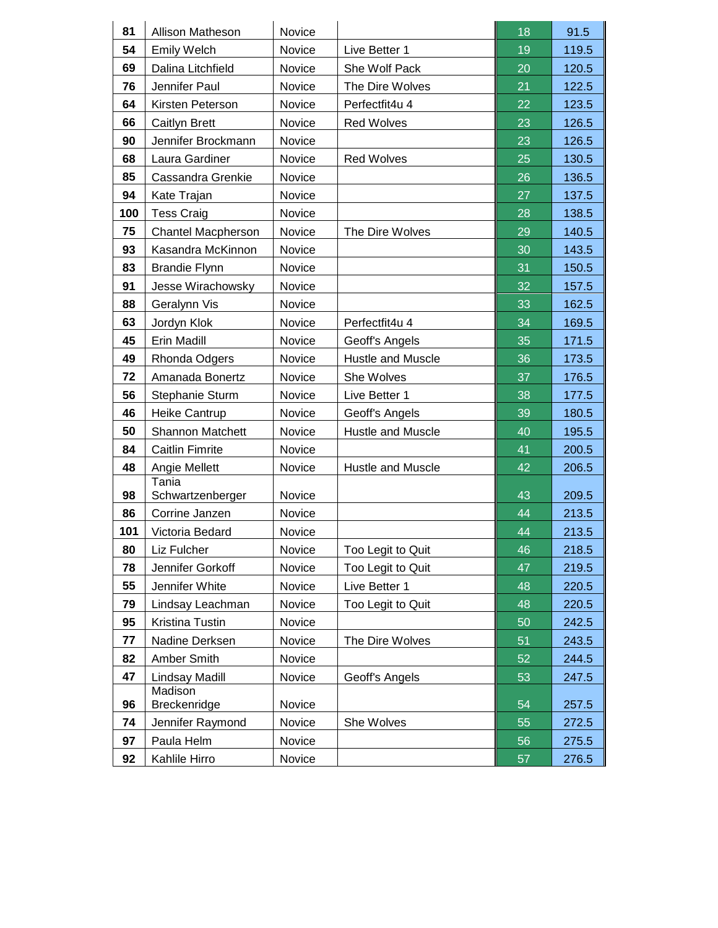| 81  | Allison Matheson          | Novice |                   | 18 | 91.5  |
|-----|---------------------------|--------|-------------------|----|-------|
| 54  | <b>Emily Welch</b>        | Novice | Live Better 1     | 19 | 119.5 |
| 69  | Dalina Litchfield         | Novice | She Wolf Pack     | 20 | 120.5 |
| 76  | Jennifer Paul             | Novice | The Dire Wolves   | 21 | 122.5 |
| 64  | Kirsten Peterson          | Novice | Perfectfit4u 4    | 22 | 123.5 |
| 66  | Caitlyn Brett             | Novice | <b>Red Wolves</b> | 23 | 126.5 |
| 90  | Jennifer Brockmann        | Novice |                   | 23 | 126.5 |
| 68  | Laura Gardiner            | Novice | <b>Red Wolves</b> | 25 | 130.5 |
| 85  | Cassandra Grenkie         | Novice |                   | 26 | 136.5 |
| 94  | Kate Trajan               | Novice |                   | 27 | 137.5 |
| 100 | <b>Tess Craig</b>         | Novice |                   | 28 | 138.5 |
| 75  | <b>Chantel Macpherson</b> | Novice | The Dire Wolves   | 29 | 140.5 |
| 93  | Kasandra McKinnon         | Novice |                   | 30 | 143.5 |
| 83  | <b>Brandie Flynn</b>      | Novice |                   | 31 | 150.5 |
| 91  | Jesse Wirachowsky         | Novice |                   | 32 | 157.5 |
| 88  | Geralynn Vis              | Novice |                   | 33 | 162.5 |
| 63  | Jordyn Klok               | Novice | Perfectfit4u 4    | 34 | 169.5 |
| 45  | Erin Madill               | Novice | Geoff's Angels    | 35 | 171.5 |
| 49  | Rhonda Odgers             | Novice | Hustle and Muscle | 36 | 173.5 |
| 72  | Amanada Bonertz           | Novice | She Wolves        | 37 | 176.5 |
| 56  | Stephanie Sturm           | Novice | Live Better 1     | 38 | 177.5 |
| 46  | Heike Cantrup             | Novice | Geoff's Angels    | 39 | 180.5 |
| 50  | <b>Shannon Matchett</b>   | Novice | Hustle and Muscle | 40 | 195.5 |
| 84  | <b>Caitlin Fimrite</b>    | Novice |                   | 41 | 200.5 |
| 48  | Angie Mellett             | Novice | Hustle and Muscle | 42 | 206.5 |
| 98  | Tania<br>Schwartzenberger | Novice |                   | 43 | 209.5 |
| 86  | Corrine Janzen            | Novice |                   | 44 | 213.5 |
| 101 | Victoria Bedard           | Novice |                   | 44 | 213.5 |
| 80  | Liz Fulcher               | Novice | Too Legit to Quit | 46 | 218.5 |
| 78  | Jennifer Gorkoff          | Novice | Too Legit to Quit | 47 | 219.5 |
| 55  | Jennifer White            | Novice | Live Better 1     | 48 | 220.5 |
| 79  | Lindsay Leachman          | Novice | Too Legit to Quit | 48 | 220.5 |
| 95  | Kristina Tustin           | Novice |                   | 50 | 242.5 |
| 77  | Nadine Derksen            | Novice | The Dire Wolves   | 51 | 243.5 |
| 82  | Amber Smith               | Novice |                   | 52 | 244.5 |
| 47  | Lindsay Madill            | Novice | Geoff's Angels    | 53 | 247.5 |
| 96  | Madison<br>Breckenridge   | Novice |                   | 54 | 257.5 |
| 74  | Jennifer Raymond          | Novice | She Wolves        | 55 | 272.5 |
| 97  | Paula Helm                | Novice |                   | 56 | 275.5 |
| 92  | Kahlile Hirro             | Novice |                   | 57 | 276.5 |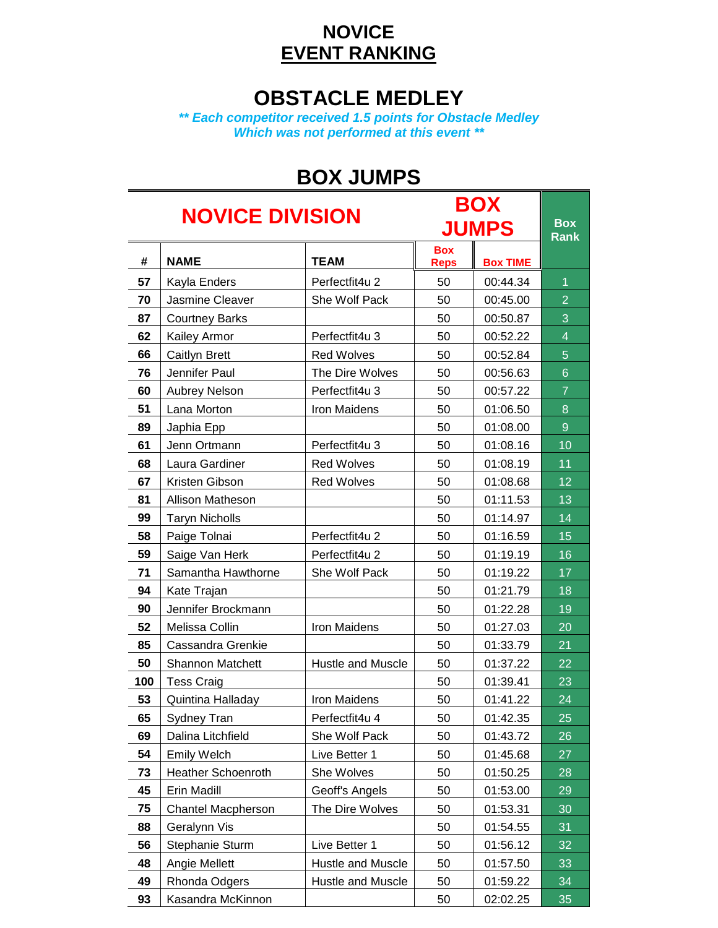#### **NOVICE EVENT RANKING**

### **OBSTACLE MEDLEY**

*\*\* Each competitor received 1.5 points for Obstacle Medley Which was not performed at this event \*\**

## **BOX JUMPS**

| <b>BOX</b><br><b>NOVICE DIVISION</b> |                           |                   |                           |                 |                           |  |  |
|--------------------------------------|---------------------------|-------------------|---------------------------|-----------------|---------------------------|--|--|
|                                      |                           |                   |                           | <b>JUMPS</b>    | <b>Box</b><br><b>Rank</b> |  |  |
| #                                    | <b>NAME</b>               | <b>TEAM</b>       | <b>Box</b><br><b>Reps</b> | <b>Box TIME</b> |                           |  |  |
| 57                                   | Kayla Enders              | Perfectfit4u 2    | 50                        | 00:44.34        | 1                         |  |  |
| 70                                   | <b>Jasmine Cleaver</b>    | She Wolf Pack     | 50                        | 00:45.00        | $\overline{2}$            |  |  |
| 87                                   | <b>Courtney Barks</b>     |                   | 50                        | 00:50.87        | 3                         |  |  |
| 62                                   | Kailey Armor              | Perfectfit4u 3    | 50                        | 00:52.22        | $\overline{4}$            |  |  |
| 66                                   | Caitlyn Brett             | <b>Red Wolves</b> | 50                        | 00:52.84        | 5                         |  |  |
| 76                                   | Jennifer Paul             | The Dire Wolves   | 50                        | 00:56.63        | $6\phantom{1}$            |  |  |
| 60                                   | Aubrey Nelson             | Perfectfit4u 3    | 50                        | 00:57.22        | $\overline{7}$            |  |  |
| 51                                   | Lana Morton               | Iron Maidens      | 50                        | 01:06.50        | 8                         |  |  |
| 89                                   | Japhia Epp                |                   | 50                        | 01:08.00        | 9                         |  |  |
| 61                                   | Jenn Ortmann              | Perfectfit4u 3    | 50                        | 01:08.16        | 10                        |  |  |
| 68                                   | Laura Gardiner            | <b>Red Wolves</b> | 50                        | 01:08.19        | 11                        |  |  |
| 67                                   | Kristen Gibson            | <b>Red Wolves</b> | 50                        | 01:08.68        | 12                        |  |  |
| 81                                   | Allison Matheson          |                   | 50                        | 01:11.53        | 13                        |  |  |
| 99                                   | <b>Taryn Nicholls</b>     |                   | 50                        | 01:14.97        | 14                        |  |  |
| 58                                   | Paige Tolnai              | Perfectfit4u 2    | 50                        | 01:16.59        | 15                        |  |  |
| 59                                   | Saige Van Herk            | Perfectfit4u 2    | 50                        | 01:19.19        | 16                        |  |  |
| 71                                   | Samantha Hawthorne        | She Wolf Pack     | 50                        | 01:19.22        | 17                        |  |  |
| 94                                   | Kate Trajan               |                   | 50                        | 01:21.79        | 18                        |  |  |
| 90                                   | Jennifer Brockmann        |                   | 50                        | 01:22.28        | 19                        |  |  |
| 52                                   | Melissa Collin            | Iron Maidens      | 50                        | 01:27.03        | 20                        |  |  |
| 85                                   | Cassandra Grenkie         |                   | 50                        | 01:33.79        | 21                        |  |  |
| 50                                   | Shannon Matchett          | Hustle and Muscle | 50                        | 01:37.22        | 22                        |  |  |
| 100                                  | <b>Tess Craig</b>         |                   | 50                        | 01:39.41        | 23                        |  |  |
| 53                                   | Quintina Halladay         | Iron Maidens      | 50                        | 01:41.22        | 24                        |  |  |
| 65                                   | Sydney Tran               | Perfectfit4u 4    | 50                        | 01:42.35        | 25                        |  |  |
| 69                                   | Dalina Litchfield         | She Wolf Pack     | 50                        | 01:43.72        | 26                        |  |  |
| 54                                   | <b>Emily Welch</b>        | Live Better 1     | 50                        | 01:45.68        | 27                        |  |  |
| 73                                   | <b>Heather Schoenroth</b> | She Wolves        | 50                        | 01:50.25        | 28                        |  |  |
| 45                                   | Erin Madill               | Geoff's Angels    | 50                        | 01:53.00        | 29                        |  |  |
| 75                                   | <b>Chantel Macpherson</b> | The Dire Wolves   | 50                        | 01:53.31        | 30                        |  |  |
| 88                                   | Geralynn Vis              |                   | 50                        | 01:54.55        | 31                        |  |  |
| 56                                   | Stephanie Sturm           | Live Better 1     | 50                        | 01:56.12        | 32                        |  |  |
| 48                                   | Angie Mellett             | Hustle and Muscle | 50                        | 01:57.50        | 33                        |  |  |
| 49                                   | Rhonda Odgers             | Hustle and Muscle | 50                        | 01:59.22        | 34                        |  |  |
| 93                                   | Kasandra McKinnon         |                   | 50                        | 02:02.25        | 35                        |  |  |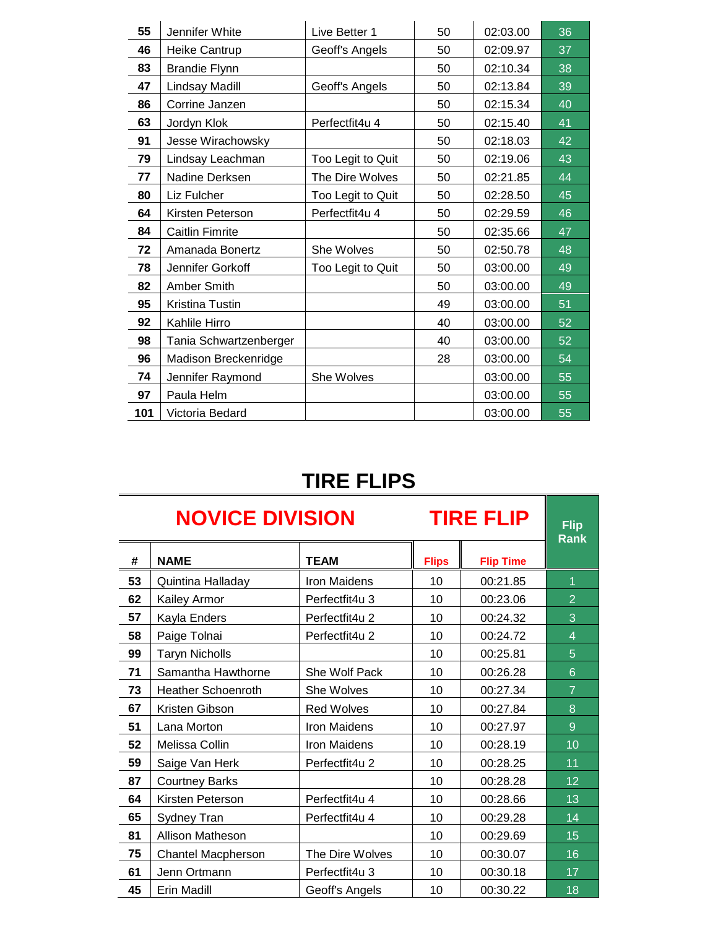| 55  | Jennifer White         | Live Better 1     | 50 | 02:03.00 | 36 |
|-----|------------------------|-------------------|----|----------|----|
| 46  | Heike Cantrup          | Geoff's Angels    | 50 | 02:09.97 | 37 |
| 83  | <b>Brandie Flynn</b>   |                   | 50 | 02:10.34 | 38 |
| 47  | Lindsay Madill         | Geoff's Angels    | 50 | 02:13.84 | 39 |
| 86  | Corrine Janzen         |                   | 50 | 02:15.34 | 40 |
| 63  | Jordyn Klok            | Perfectfit4u 4    | 50 | 02:15.40 | 41 |
| 91  | Jesse Wirachowsky      |                   | 50 | 02:18.03 | 42 |
| 79  | Lindsay Leachman       | Too Legit to Quit | 50 | 02:19.06 | 43 |
| 77  | Nadine Derksen         | The Dire Wolves   | 50 | 02:21.85 | 44 |
| 80  | Liz Fulcher            | Too Legit to Quit | 50 | 02:28.50 | 45 |
| 64  | Kirsten Peterson       | Perfectfit4u 4    | 50 | 02:29.59 | 46 |
| 84  | <b>Caitlin Fimrite</b> |                   | 50 | 02:35.66 | 47 |
| 72  | Amanada Bonertz        | She Wolves        | 50 | 02:50.78 | 48 |
| 78  | Jennifer Gorkoff       | Too Legit to Quit | 50 | 03:00.00 | 49 |
| 82  | Amber Smith            |                   | 50 | 03:00.00 | 49 |
| 95  | Kristina Tustin        |                   | 49 | 03:00.00 | 51 |
| 92  | Kahlile Hirro          |                   | 40 | 03:00.00 | 52 |
| 98  | Tania Schwartzenberger |                   | 40 | 03:00.00 | 52 |
| 96  | Madison Breckenridge   |                   | 28 | 03:00.00 | 54 |
| 74  | Jennifer Raymond       | She Wolves        |    | 03:00.00 | 55 |
| 97  | Paula Helm             |                   |    | 03:00.00 | 55 |
| 101 | Victoria Bedard        |                   |    | 03:00.00 | 55 |

## **TIRE FLIPS**

÷

| <b>NOVICE DIVISION</b><br><b>TIRE FLIP</b> |                           |                   |              |                  |                |  |
|--------------------------------------------|---------------------------|-------------------|--------------|------------------|----------------|--|
| #                                          | <b>NAME</b>               | <b>TEAM</b>       | <b>Flips</b> | <b>Flip Time</b> | <b>Rank</b>    |  |
| 53                                         | Quintina Halladay         | Iron Maidens      | 10           | 00:21.85         | 1              |  |
| 62                                         | Kailey Armor              | Perfectfit4u 3    | 10           | 00:23.06         | $\overline{2}$ |  |
| 57                                         | Kayla Enders              | Perfectfit4u 2    | 10           | 00:24.32         | 3              |  |
| 58                                         | Paige Tolnai              | Perfectfit4u 2    | 10           | 00:24.72         | 4              |  |
| 99                                         | <b>Taryn Nicholls</b>     |                   | 10           | 00:25.81         | 5              |  |
| 71                                         | Samantha Hawthorne        | She Wolf Pack     | 10           | 00:26.28         | 6              |  |
| 73                                         | <b>Heather Schoenroth</b> | She Wolves        | 10           | 00:27.34         | $\overline{7}$ |  |
| 67                                         | Kristen Gibson            | <b>Red Wolves</b> | 10           | 00:27.84         | 8              |  |
| 51                                         | Lana Morton               | Iron Maidens      | 10           | 00:27.97         | 9              |  |
| 52                                         | Melissa Collin            | Iron Maidens      | 10           | 00:28.19         | 10             |  |
| 59                                         | Saige Van Herk            | Perfectfit4u 2    | 10           | 00:28.25         | 11             |  |
| 87                                         | <b>Courtney Barks</b>     |                   | 10           | 00:28.28         | 12             |  |
| 64                                         | Kirsten Peterson          | Perfectfit4u 4    | 10           | 00:28.66         | 13             |  |
| 65                                         | Sydney Tran               | Perfectfit4u 4    | 10           | 00:29.28         | 14             |  |
| 81                                         | Allison Matheson          |                   | 10           | 00:29.69         | 15             |  |
| 75                                         | <b>Chantel Macpherson</b> | The Dire Wolves   | 10           | 00:30.07         | 16             |  |
| 61                                         | Jenn Ortmann              | Perfectfit4u 3    | 10           | 00:30.18         | 17             |  |
| 45                                         | Erin Madill               | Geoff's Angels    | 10           | 00:30.22         | 18             |  |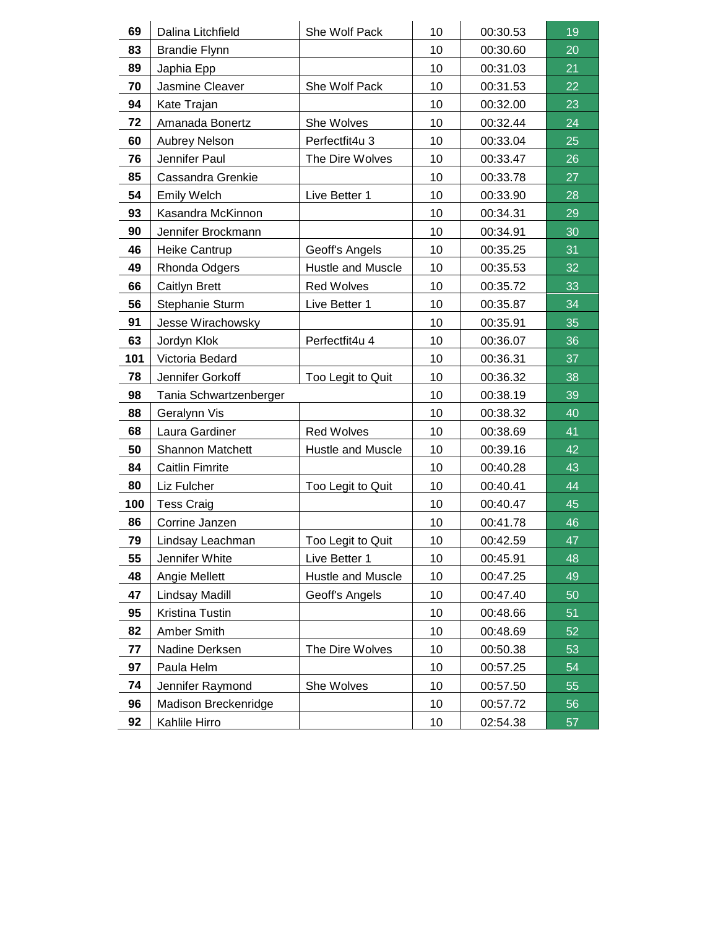| 69  | Dalina Litchfield      | She Wolf Pack     | 10 | 00:30.53 | 19 |
|-----|------------------------|-------------------|----|----------|----|
| 83  | <b>Brandie Flynn</b>   |                   | 10 | 00:30.60 | 20 |
| 89  | Japhia Epp             |                   | 10 | 00:31.03 | 21 |
| 70  | Jasmine Cleaver        | She Wolf Pack     | 10 | 00:31.53 | 22 |
| 94  | Kate Trajan            |                   | 10 | 00:32.00 | 23 |
| 72  | Amanada Bonertz        | She Wolves        | 10 | 00:32.44 | 24 |
| 60  | <b>Aubrey Nelson</b>   | Perfectfit4u 3    | 10 | 00:33.04 | 25 |
| 76  | Jennifer Paul          | The Dire Wolves   | 10 | 00:33.47 | 26 |
| 85  | Cassandra Grenkie      |                   | 10 | 00:33.78 | 27 |
| 54  | <b>Emily Welch</b>     | Live Better 1     | 10 | 00:33.90 | 28 |
| 93  | Kasandra McKinnon      |                   | 10 | 00:34.31 | 29 |
| 90  | Jennifer Brockmann     |                   | 10 | 00:34.91 | 30 |
| 46  | Heike Cantrup          | Geoff's Angels    | 10 | 00:35.25 | 31 |
| 49  | Rhonda Odgers          | Hustle and Muscle | 10 | 00:35.53 | 32 |
| 66  | Caitlyn Brett          | <b>Red Wolves</b> | 10 | 00:35.72 | 33 |
| 56  | Stephanie Sturm        | Live Better 1     | 10 | 00:35.87 | 34 |
| 91  | Jesse Wirachowsky      |                   | 10 | 00:35.91 | 35 |
| 63  | Jordyn Klok            | Perfectfit4u 4    | 10 | 00:36.07 | 36 |
| 101 | Victoria Bedard        |                   | 10 | 00:36.31 | 37 |
| 78  | Jennifer Gorkoff       | Too Legit to Quit | 10 | 00:36.32 | 38 |
| 98  | Tania Schwartzenberger |                   | 10 | 00:38.19 | 39 |
| 88  | Geralynn Vis           |                   | 10 | 00:38.32 | 40 |
| 68  | Laura Gardiner         | <b>Red Wolves</b> | 10 | 00:38.69 | 41 |
| 50  | Shannon Matchett       | Hustle and Muscle | 10 | 00:39.16 | 42 |
| 84  | <b>Caitlin Fimrite</b> |                   | 10 | 00:40.28 | 43 |
| 80  | Liz Fulcher            | Too Legit to Quit | 10 | 00:40.41 | 44 |
| 100 | <b>Tess Craig</b>      |                   | 10 | 00:40.47 | 45 |
| 86  | Corrine Janzen         |                   | 10 | 00:41.78 | 46 |
| 79  | Lindsay Leachman       | Too Legit to Quit | 10 | 00:42.59 | 47 |
| 55  | Jennifer White         | Live Better 1     | 10 | 00:45.91 | 48 |
| 48  | Angie Mellett          | Hustle and Muscle | 10 | 00:47.25 | 49 |
| 47  | Lindsay Madill         | Geoff's Angels    | 10 | 00:47.40 | 50 |
| 95  | Kristina Tustin        |                   | 10 | 00:48.66 | 51 |
| 82  | Amber Smith            |                   | 10 | 00:48.69 | 52 |
| 77  | Nadine Derksen         | The Dire Wolves   | 10 | 00:50.38 | 53 |
| 97  | Paula Helm             |                   | 10 | 00:57.25 | 54 |
| 74  | Jennifer Raymond       | She Wolves        | 10 | 00:57.50 | 55 |
| 96  | Madison Breckenridge   |                   | 10 | 00:57.72 | 56 |
| 92  | Kahlile Hirro          |                   | 10 | 02:54.38 | 57 |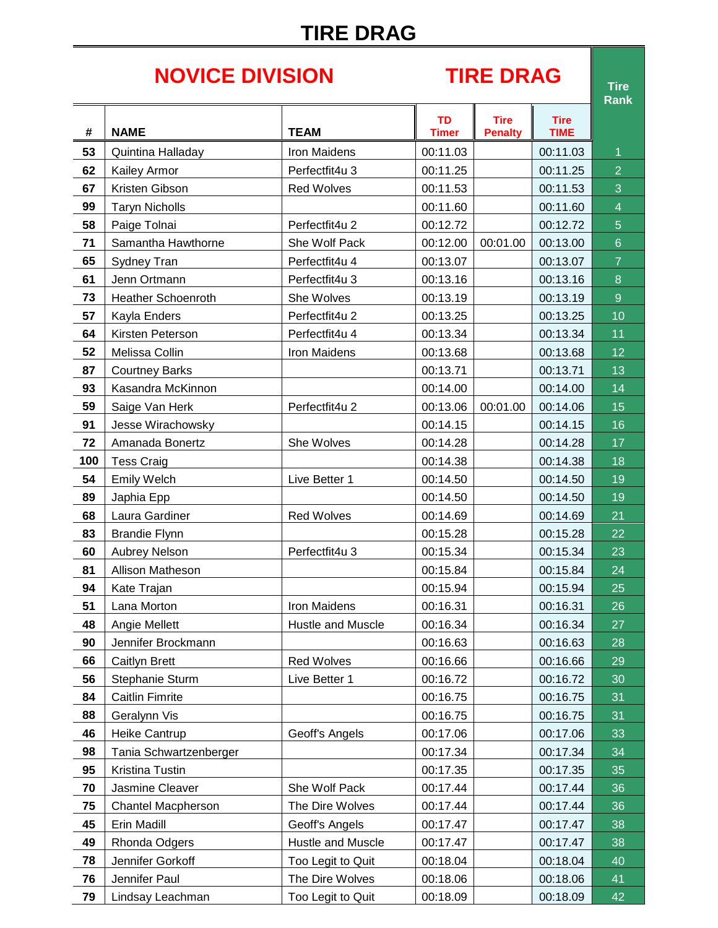# **TIRE DRAG**

# **NOVICE DIVISION TIRE DRAG Tire**

**Rank**

|     |                           |                     |                           |                               |                            | nalin          |
|-----|---------------------------|---------------------|---------------------------|-------------------------------|----------------------------|----------------|
| #   | <b>NAME</b>               | <b>TEAM</b>         | <b>TD</b><br><b>Timer</b> | <b>Tire</b><br><b>Penalty</b> | <b>Tire</b><br><b>TIME</b> |                |
| 53  | Quintina Halladay         | <b>Iron Maidens</b> | 00:11.03                  |                               | 00:11.03                   | $\overline{1}$ |
| 62  | Kailey Armor              | Perfectfit4u 3      | 00:11.25                  |                               | 00:11.25                   | $\overline{2}$ |
| 67  | Kristen Gibson            | <b>Red Wolves</b>   | 00:11.53                  |                               | 00:11.53                   | 3              |
| 99  | <b>Taryn Nicholls</b>     |                     | 00:11.60                  |                               | 00:11.60                   | $\overline{4}$ |
| 58  | Paige Tolnai              | Perfectfit4u 2      | 00:12.72                  |                               | 00:12.72                   | 5              |
| 71  | Samantha Hawthorne        | She Wolf Pack       | 00:12.00                  | 00:01.00                      | 00:13.00                   | $6\phantom{.}$ |
| 65  | Sydney Tran               | Perfectfit4u 4      | 00:13.07                  |                               | 00:13.07                   | $\overline{7}$ |
| 61  | Jenn Ortmann              | Perfectfit4u 3      | 00:13.16                  |                               | 00:13.16                   | 8              |
| 73  | <b>Heather Schoenroth</b> | She Wolves          | 00:13.19                  |                               | 00:13.19                   | $\overline{9}$ |
| 57  | Kayla Enders              | Perfectfit4u 2      | 00:13.25                  |                               | 00:13.25                   | 10             |
| 64  | Kirsten Peterson          | Perfectfit4u 4      | 00:13.34                  |                               | 00:13.34                   | 11             |
| 52  | Melissa Collin            | Iron Maidens        | 00:13.68                  |                               | 00:13.68                   | 12             |
| 87  | <b>Courtney Barks</b>     |                     | 00:13.71                  |                               | 00:13.71                   | 13             |
| 93  | Kasandra McKinnon         |                     | 00:14.00                  |                               | 00:14.00                   | 14             |
| 59  | Saige Van Herk            | Perfectfit4u 2      | 00:13.06                  | 00:01.00                      | 00:14.06                   | 15             |
| 91  | Jesse Wirachowsky         |                     | 00:14.15                  |                               | 00:14.15                   | 16             |
| 72  | Amanada Bonertz           | She Wolves          | 00:14.28                  |                               | 00:14.28                   | 17             |
| 100 | <b>Tess Craig</b>         |                     | 00:14.38                  |                               | 00:14.38                   | 18             |
| 54  | Emily Welch               | Live Better 1       | 00:14.50                  |                               | 00:14.50                   | 19             |
| 89  | Japhia Epp                |                     | 00:14.50                  |                               | 00:14.50                   | 19             |
| 68  | Laura Gardiner            | <b>Red Wolves</b>   | 00:14.69                  |                               | 00:14.69                   | 21             |
| 83  | <b>Brandie Flynn</b>      |                     | 00:15.28                  |                               | 00:15.28                   | 22             |
| 60  | <b>Aubrey Nelson</b>      | Perfectfit4u 3      | 00:15.34                  |                               | 00:15.34                   | 23             |
| 81  | Allison Matheson          |                     | 00:15.84                  |                               | 00:15.84                   | 24             |
| 94  | Kate Trajan               |                     | 00:15.94                  |                               | 00:15.94                   | 25             |
| 51  | Lana Morton               | <b>Iron Maidens</b> | 00:16.31                  |                               | 00:16.31                   | 26             |
| 48  | Angie Mellett             | Hustle and Muscle   | 00:16.34                  |                               | 00:16.34                   | 27             |
| 90  | Jennifer Brockmann        |                     | 00:16.63                  |                               | 00:16.63                   | 28             |
| 66  | Caitlyn Brett             | <b>Red Wolves</b>   | 00:16.66                  |                               | 00:16.66                   | 29             |
| 56  | Stephanie Sturm           | Live Better 1       | 00:16.72                  |                               | 00:16.72                   | 30             |
| 84  | <b>Caitlin Fimrite</b>    |                     | 00:16.75                  |                               | 00:16.75                   | 31             |
| 88  | Geralynn Vis              |                     | 00:16.75                  |                               | 00:16.75                   | 31             |
| 46  | Heike Cantrup             | Geoff's Angels      | 00:17.06                  |                               | 00:17.06                   | 33             |
| 98  | Tania Schwartzenberger    |                     | 00:17.34                  |                               | 00:17.34                   | 34             |
| 95  | Kristina Tustin           |                     | 00:17.35                  |                               | 00:17.35                   | 35             |
| 70  | Jasmine Cleaver           | She Wolf Pack       | 00:17.44                  |                               | 00:17.44                   | 36             |
| 75  | <b>Chantel Macpherson</b> | The Dire Wolves     | 00:17.44                  |                               | 00:17.44                   | 36             |
| 45  | Erin Madill               | Geoff's Angels      | 00:17.47                  |                               | 00:17.47                   | 38             |
| 49  | Rhonda Odgers             | Hustle and Muscle   | 00:17.47                  |                               | 00:17.47                   | 38             |
| 78  | Jennifer Gorkoff          | Too Legit to Quit   | 00:18.04                  |                               | 00:18.04                   | 40             |
| 76  | Jennifer Paul             | The Dire Wolves     | 00:18.06                  |                               | 00:18.06                   | 41             |
| 79  | Lindsay Leachman          | Too Legit to Quit   | 00:18.09                  |                               | 00:18.09                   | 42             |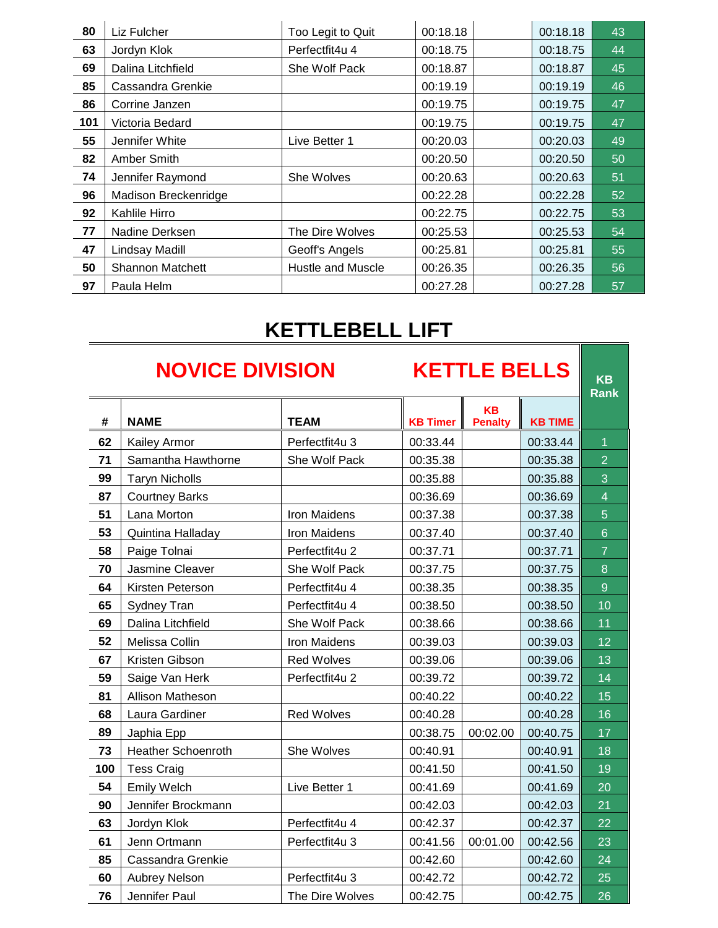| 80  | Liz Fulcher             | Too Legit to Quit        | 00:18.18 | 00:18.18 | 43 |
|-----|-------------------------|--------------------------|----------|----------|----|
| 63  | Jordyn Klok             | Perfectfit4u 4           | 00:18.75 | 00:18.75 | 44 |
| 69  | Dalina Litchfield       | She Wolf Pack            | 00:18.87 | 00:18.87 | 45 |
| 85  | Cassandra Grenkie       |                          | 00:19.19 | 00:19.19 | 46 |
| 86  | Corrine Janzen          |                          | 00:19.75 | 00:19.75 | 47 |
| 101 | Victoria Bedard         |                          | 00:19.75 | 00:19.75 | 47 |
| 55  | Jennifer White          | Live Better 1            | 00:20.03 | 00:20.03 | 49 |
| 82  | Amber Smith             |                          | 00:20.50 | 00:20.50 | 50 |
| 74  | Jennifer Raymond        | She Wolves               | 00:20.63 | 00:20.63 | 51 |
| 96  | Madison Breckenridge    |                          | 00:22.28 | 00:22.28 | 52 |
| 92  | Kahlile Hirro           |                          | 00:22.75 | 00:22.75 | 53 |
| 77  | Nadine Derksen          | The Dire Wolves          | 00:25.53 | 00:25.53 | 54 |
| 47  | Lindsay Madill          | Geoff's Angels           | 00:25.81 | 00:25.81 | 55 |
| 50  | <b>Shannon Matchett</b> | <b>Hustle and Muscle</b> | 00:26.35 | 00:26.35 | 56 |
| 97  | Paula Helm              |                          | 00:27.28 | 00:27.28 | 57 |

# **KETTLEBELL LIFT**

|     | <b>NOVICE DIVISION</b>    |                     |                 | <b>KETTLE BELLS</b>         |                |                         |  |  |
|-----|---------------------------|---------------------|-----------------|-----------------------------|----------------|-------------------------|--|--|
| #   | <b>NAME</b>               | <b>TEAM</b>         | <b>KB Timer</b> | <b>KB</b><br><b>Penalty</b> | <b>KB TIME</b> | <b>Rank</b>             |  |  |
| 62  | Kailey Armor              | Perfectfit4u 3      | 00:33.44        |                             | 00:33.44       | 1                       |  |  |
| 71  | Samantha Hawthorne        | She Wolf Pack       | 00:35.38        |                             | 00:35.38       | $\overline{2}$          |  |  |
| 99  | <b>Taryn Nicholls</b>     |                     | 00:35.88        |                             | 00:35.88       | 3                       |  |  |
| 87  | <b>Courtney Barks</b>     |                     | 00:36.69        |                             | 00:36.69       | $\overline{\mathbf{4}}$ |  |  |
| 51  | Lana Morton               | <b>Iron Maidens</b> | 00:37.38        |                             | 00:37.38       | 5                       |  |  |
| 53  | Quintina Halladay         | Iron Maidens        | 00:37.40        |                             | 00:37.40       | $6\phantom{1}$          |  |  |
| 58  | Paige Tolnai              | Perfectfit4u 2      | 00:37.71        |                             | 00:37.71       | $\overline{7}$          |  |  |
| 70  | Jasmine Cleaver           | She Wolf Pack       | 00:37.75        |                             | 00:37.75       | 8                       |  |  |
| 64  | Kirsten Peterson          | Perfectfit4u 4      | 00:38.35        |                             | 00:38.35       | $\overline{9}$          |  |  |
| 65  | Sydney Tran               | Perfectfit4u 4      | 00:38.50        |                             | 00:38.50       | 10                      |  |  |
| 69  | Dalina Litchfield         | She Wolf Pack       | 00:38.66        |                             | 00:38.66       | 11                      |  |  |
| 52  | Melissa Collin            | <b>Iron Maidens</b> | 00:39.03        |                             | 00:39.03       | 12                      |  |  |
| 67  | Kristen Gibson            | <b>Red Wolves</b>   | 00:39.06        |                             | 00:39.06       | 13                      |  |  |
| 59  | Saige Van Herk            | Perfectfit4u 2      | 00:39.72        |                             | 00:39.72       | 14                      |  |  |
| 81  | Allison Matheson          |                     | 00:40.22        |                             | 00:40.22       | 15                      |  |  |
| 68  | Laura Gardiner            | <b>Red Wolves</b>   | 00:40.28        |                             | 00:40.28       | 16                      |  |  |
| 89  | Japhia Epp                |                     | 00:38.75        | 00:02.00                    | 00:40.75       | 17                      |  |  |
| 73  | <b>Heather Schoenroth</b> | She Wolves          | 00:40.91        |                             | 00:40.91       | 18                      |  |  |
| 100 | <b>Tess Craig</b>         |                     | 00:41.50        |                             | 00:41.50       | 19                      |  |  |
| 54  | Emily Welch               | Live Better 1       | 00:41.69        |                             | 00:41.69       | 20                      |  |  |
| 90  | Jennifer Brockmann        |                     | 00:42.03        |                             | 00:42.03       | 21                      |  |  |
| 63  | Jordyn Klok               | Perfectfit4u 4      | 00:42.37        |                             | 00:42.37       | 22                      |  |  |
| 61  | Jenn Ortmann              | Perfectfit4u 3      | 00:41.56        | 00:01.00                    | 00:42.56       | 23                      |  |  |
| 85  | <b>Cassandra Grenkie</b>  |                     | 00:42.60        |                             | 00:42.60       | 24                      |  |  |
| 60  | Aubrey Nelson             | Perfectfit4u 3      | 00:42.72        |                             | 00:42.72       | 25                      |  |  |
| 76  | Jennifer Paul             | The Dire Wolves     | 00:42.75        |                             | 00:42.75       | 26                      |  |  |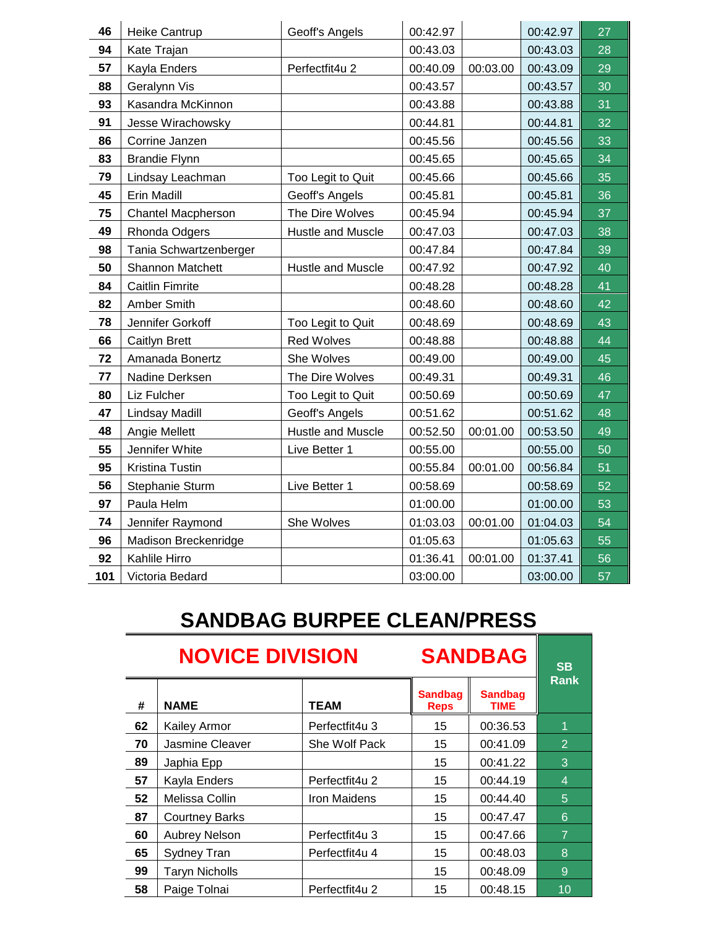| 46  | Heike Cantrup          | Geoff's Angels    | 00:42.97 |          | 00:42.97 | 27 |
|-----|------------------------|-------------------|----------|----------|----------|----|
| 94  | Kate Trajan            |                   | 00:43.03 |          | 00:43.03 | 28 |
| 57  | Kayla Enders           | Perfectfit4u 2    | 00:40.09 | 00:03.00 | 00:43.09 | 29 |
| 88  | Geralynn Vis           |                   | 00:43.57 |          | 00:43.57 | 30 |
| 93  | Kasandra McKinnon      |                   | 00:43.88 |          | 00:43.88 | 31 |
| 91  | Jesse Wirachowsky      |                   | 00:44.81 |          | 00:44.81 | 32 |
| 86  | Corrine Janzen         |                   | 00:45.56 |          | 00:45.56 | 33 |
| 83  | <b>Brandie Flynn</b>   |                   | 00:45.65 |          | 00:45.65 | 34 |
| 79  | Lindsay Leachman       | Too Legit to Quit | 00:45.66 |          | 00:45.66 | 35 |
| 45  | Erin Madill            | Geoff's Angels    | 00:45.81 |          | 00:45.81 | 36 |
| 75  | Chantel Macpherson     | The Dire Wolves   | 00:45.94 |          | 00:45.94 | 37 |
| 49  | Rhonda Odgers          | Hustle and Muscle | 00:47.03 |          | 00:47.03 | 38 |
| 98  | Tania Schwartzenberger |                   | 00:47.84 |          | 00:47.84 | 39 |
| 50  | Shannon Matchett       | Hustle and Muscle | 00:47.92 |          | 00:47.92 | 40 |
| 84  | <b>Caitlin Fimrite</b> |                   | 00:48.28 |          | 00:48.28 | 41 |
| 82  | Amber Smith            |                   | 00:48.60 |          | 00:48.60 | 42 |
| 78  | Jennifer Gorkoff       | Too Legit to Quit | 00:48.69 |          | 00:48.69 | 43 |
| 66  | Caitlyn Brett          | Red Wolves        | 00:48.88 |          | 00:48.88 | 44 |
| 72  | Amanada Bonertz        | She Wolves        | 00:49.00 |          | 00:49.00 | 45 |
| 77  | Nadine Derksen         | The Dire Wolves   | 00:49.31 |          | 00:49.31 | 46 |
| 80  | Liz Fulcher            | Too Legit to Quit | 00:50.69 |          | 00:50.69 | 47 |
| 47  | Lindsay Madill         | Geoff's Angels    | 00:51.62 |          | 00:51.62 | 48 |
| 48  | Angie Mellett          | Hustle and Muscle | 00:52.50 | 00:01.00 | 00:53.50 | 49 |
| 55  | Jennifer White         | Live Better 1     | 00:55.00 |          | 00:55.00 | 50 |
| 95  | Kristina Tustin        |                   | 00:55.84 | 00:01.00 | 00:56.84 | 51 |
| 56  | Stephanie Sturm        | Live Better 1     | 00:58.69 |          | 00:58.69 | 52 |
| 97  | Paula Helm             |                   | 01:00.00 |          | 01:00.00 | 53 |
| 74  | Jennifer Raymond       | She Wolves        | 01:03.03 | 00:01.00 | 01:04.03 | 54 |
| 96  | Madison Breckenridge   |                   | 01:05.63 |          | 01:05.63 | 55 |
| 92  | Kahlile Hirro          |                   | 01:36.41 | 00:01.00 | 01:37.41 | 56 |
| 101 | Victoria Bedard        |                   | 03:00.00 |          | 03:00.00 | 57 |

# **SANDBAG BURPEE CLEAN/PRESS**

| <b>NOVICE DIVISION</b> |                       |                |                               | <b>SANDBAG</b>                |                |  |
|------------------------|-----------------------|----------------|-------------------------------|-------------------------------|----------------|--|
| #                      | <b>NAME</b>           | <b>TEAM</b>    | <b>Sandbag</b><br><b>Reps</b> | <b>Sandbag</b><br><b>TIME</b> | <b>Rank</b>    |  |
| 62                     | Kailey Armor          | Perfectfit4u 3 | 15                            | 00:36.53                      | 1              |  |
| 70                     | Jasmine Cleaver       | She Wolf Pack  | 15                            | 00:41.09                      | $\overline{2}$ |  |
| 89                     | Japhia Epp            |                | 15                            | 00:41.22                      | 3              |  |
| 57                     | Kayla Enders          | Perfectfit4u 2 | 15                            | 00:44.19                      | $\overline{4}$ |  |
| 52                     | Melissa Collin        | Iron Maidens   | 15                            | 00:44.40                      | 5              |  |
| 87                     | <b>Courtney Barks</b> |                | 15                            | 00:47.47                      | 6              |  |
| 60                     | <b>Aubrey Nelson</b>  | Perfectfit4u 3 | 15                            | 00:47.66                      | $\overline{7}$ |  |
| 65                     | Sydney Tran           | Perfectfit4u 4 | 15                            | 00:48.03                      | 8              |  |
| 99                     | <b>Taryn Nicholls</b> |                | 15                            | 00:48.09                      | 9              |  |
| 58                     | Paige Tolnai          | Perfectfit4u 2 | 15                            | 00:48.15                      | 10             |  |